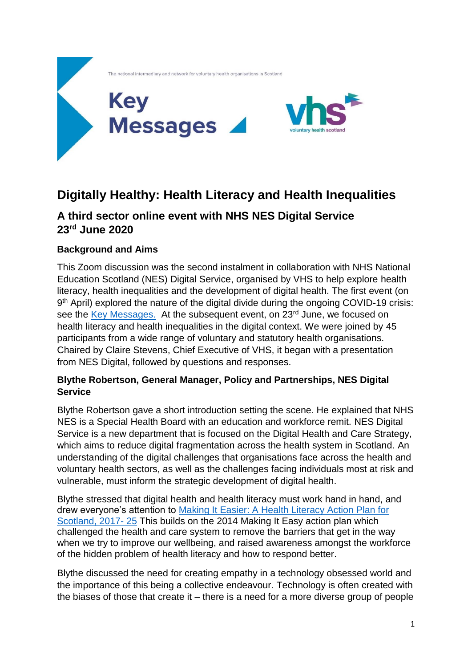

# **Digitally Healthy: Health Literacy and Health Inequalities**

## **A third sector online event with NHS NES Digital Service 23rd June 2020**

### **Background and Aims**

This Zoom discussion was the second instalment in collaboration with NHS National Education Scotland (NES) Digital Service, organised by VHS to help explore health literacy, health inequalities and the development of digital health. The first event (on 9<sup>th</sup> April) explored the nature of the digital divide during the ongoing COVID-19 crisis: see the [Key Messages.](https://bit.ly/3it32uf) At the subsequent event, on 23<sup>rd</sup> June, we focused on health literacy and health inequalities in the digital context. We were joined by 45 participants from a wide range of voluntary and statutory health organisations. Chaired by Claire Stevens, Chief Executive of VHS, it began with a presentation from NES Digital, followed by questions and responses.

#### **Blythe Robertson, General Manager, Policy and Partnerships, NES Digital Service**

Blythe Robertson gave a short introduction setting the scene. He explained that NHS NES is a Special Health Board with an education and workforce remit. NES Digital Service is a new department that is focused on the Digital Health and Care Strategy, which aims to reduce digital fragmentation across the health system in Scotland. An understanding of the digital challenges that organisations face across the health and voluntary health sectors, as well as the challenges facing individuals most at risk and vulnerable, must inform the strategic development of digital health.

Blythe stressed that digital health and health literacy must work hand in hand, and drew everyone's attention to [Making It Easier: A Health Literacy Action Plan for](https://bit.ly/2ZshZE4)  [Scotland, 2017-](https://bit.ly/2ZshZE4) 25 This builds on the 2014 Making It Easy action plan which challenged the health and care system to remove the barriers that get in the way when we try to improve our wellbeing, and raised awareness amongst the workforce of the hidden problem of health literacy and how to respond better.

Blythe discussed the need for creating empathy in a technology obsessed world and the importance of this being a collective endeavour. Technology is often created with the biases of those that create it – there is a need for a more diverse group of people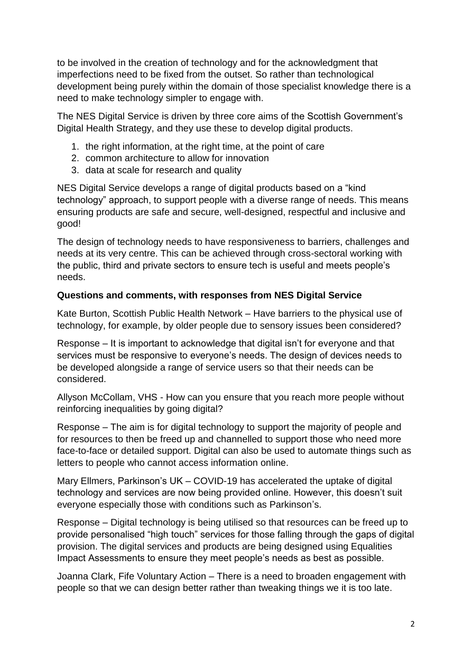to be involved in the creation of technology and for the acknowledgment that imperfections need to be fixed from the outset. So rather than technological development being purely within the domain of those specialist knowledge there is a need to make technology simpler to engage with.

The NES Digital Service is driven by three core aims of the Scottish Government's Digital Health Strategy, and they use these to develop digital products.

- 1. the right information, at the right time, at the point of care
- 2. common architecture to allow for innovation
- 3. data at scale for research and quality

NES Digital Service develops a range of digital products based on a "kind technology" approach, to support people with a diverse range of needs. This means ensuring products are safe and secure, well-designed, respectful and inclusive and good!

The design of technology needs to have responsiveness to barriers, challenges and needs at its very centre. This can be achieved through cross-sectoral working with the public, third and private sectors to ensure tech is useful and meets people's needs.

#### **Questions and comments, with responses from NES Digital Service**

Kate Burton, Scottish Public Health Network – Have barriers to the physical use of technology, for example, by older people due to sensory issues been considered?

Response – It is important to acknowledge that digital isn't for everyone and that services must be responsive to everyone's needs. The design of devices needs to be developed alongside a range of service users so that their needs can be considered.

Allyson McCollam, VHS - How can you ensure that you reach more people without reinforcing inequalities by going digital?

Response – The aim is for digital technology to support the majority of people and for resources to then be freed up and channelled to support those who need more face-to-face or detailed support. Digital can also be used to automate things such as letters to people who cannot access information online.

Mary Ellmers, Parkinson's UK – COVID-19 has accelerated the uptake of digital technology and services are now being provided online. However, this doesn't suit everyone especially those with conditions such as Parkinson's.

Response – Digital technology is being utilised so that resources can be freed up to provide personalised "high touch" services for those falling through the gaps of digital provision. The digital services and products are being designed using Equalities Impact Assessments to ensure they meet people's needs as best as possible.

Joanna Clark, Fife Voluntary Action – There is a need to broaden engagement with people so that we can design better rather than tweaking things we it is too late.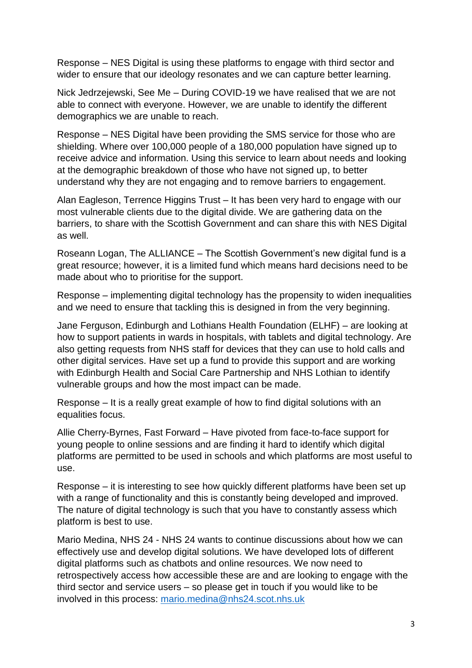Response – NES Digital is using these platforms to engage with third sector and wider to ensure that our ideology resonates and we can capture better learning.

Nick Jedrzejewski, See Me – During COVID-19 we have realised that we are not able to connect with everyone. However, we are unable to identify the different demographics we are unable to reach.

Response – NES Digital have been providing the SMS service for those who are shielding. Where over 100,000 people of a 180,000 population have signed up to receive advice and information. Using this service to learn about needs and looking at the demographic breakdown of those who have not signed up, to better understand why they are not engaging and to remove barriers to engagement.

Alan Eagleson, Terrence Higgins Trust – It has been very hard to engage with our most vulnerable clients due to the digital divide. We are gathering data on the barriers, to share with the Scottish Government and can share this with NES Digital as well.

Roseann Logan, The ALLIANCE – The Scottish Government's new digital fund is a great resource; however, it is a limited fund which means hard decisions need to be made about who to prioritise for the support.

Response – implementing digital technology has the propensity to widen inequalities and we need to ensure that tackling this is designed in from the very beginning.

Jane Ferguson, Edinburgh and Lothians Health Foundation (ELHF) – are looking at how to support patients in wards in hospitals, with tablets and digital technology. Are also getting requests from NHS staff for devices that they can use to hold calls and other digital services. Have set up a fund to provide this support and are working with Edinburgh Health and Social Care Partnership and NHS Lothian to identify vulnerable groups and how the most impact can be made.

Response – It is a really great example of how to find digital solutions with an equalities focus.

Allie Cherry-Byrnes, Fast Forward – Have pivoted from face-to-face support for young people to online sessions and are finding it hard to identify which digital platforms are permitted to be used in schools and which platforms are most useful to use.

Response – it is interesting to see how quickly different platforms have been set up with a range of functionality and this is constantly being developed and improved. The nature of digital technology is such that you have to constantly assess which platform is best to use.

Mario Medina, NHS 24 - NHS 24 wants to continue discussions about how we can effectively use and develop digital solutions. We have developed lots of different digital platforms such as chatbots and online resources. We now need to retrospectively access how accessible these are and are looking to engage with the third sector and service users – so please get in touch if you would like to be involved in this process: [mario.medina@nhs24.scot.nhs.uk](mailto:mario.medina@nhs24.scot.nhs.uk)